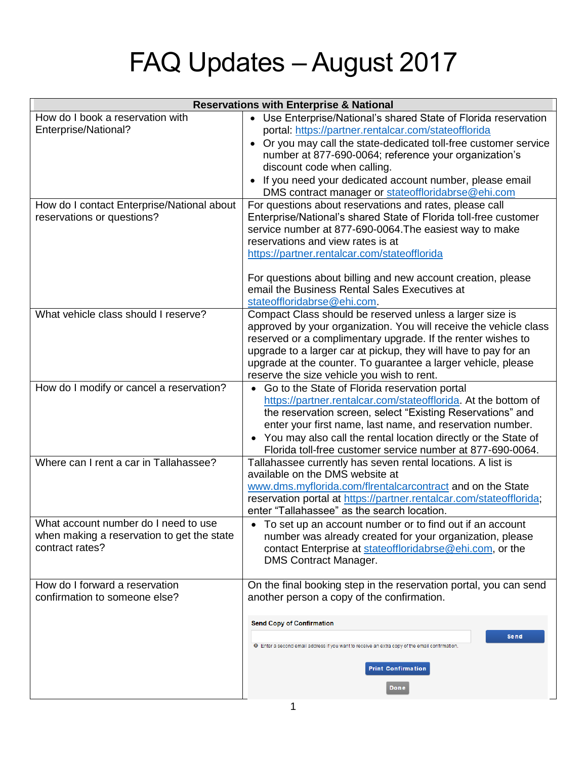## FAQ Updates – August 2017

| <b>Reservations with Enterprise &amp; National</b>                                                                                   |                                                                                                                                                                                                                                                                                                                                                                                                                                                                                                                                   |
|--------------------------------------------------------------------------------------------------------------------------------------|-----------------------------------------------------------------------------------------------------------------------------------------------------------------------------------------------------------------------------------------------------------------------------------------------------------------------------------------------------------------------------------------------------------------------------------------------------------------------------------------------------------------------------------|
| How do I book a reservation with<br>Enterprise/National?<br>How do I contact Enterprise/National about<br>reservations or questions? | • Use Enterprise/National's shared State of Florida reservation<br>portal: https://partner.rentalcar.com/stateofflorida<br>Or you may call the state-dedicated toll-free customer service<br>number at 877-690-0064; reference your organization's<br>discount code when calling.<br>If you need your dedicated account number, please email<br>DMS contract manager or stateoffloridabrse@ehi.com<br>For questions about reservations and rates, please call<br>Enterprise/National's shared State of Florida toll-free customer |
|                                                                                                                                      | service number at 877-690-0064. The easiest way to make<br>reservations and view rates is at<br>https://partner.rentalcar.com/stateofflorida<br>For questions about billing and new account creation, please<br>email the Business Rental Sales Executives at<br>stateoffloridabrse@ehi.com.                                                                                                                                                                                                                                      |
| What vehicle class should I reserve?                                                                                                 | Compact Class should be reserved unless a larger size is<br>approved by your organization. You will receive the vehicle class<br>reserved or a complimentary upgrade. If the renter wishes to<br>upgrade to a larger car at pickup, they will have to pay for an<br>upgrade at the counter. To guarantee a larger vehicle, please<br>reserve the size vehicle you wish to rent.                                                                                                                                                   |
| How do I modify or cancel a reservation?                                                                                             | Go to the State of Florida reservation portal<br>https://partner.rentalcar.com/stateofflorida. At the bottom of<br>the reservation screen, select "Existing Reservations" and<br>enter your first name, last name, and reservation number.<br>You may also call the rental location directly or the State of<br>Florida toll-free customer service number at 877-690-0064.                                                                                                                                                        |
| Where can I rent a car in Tallahassee?                                                                                               | Tallahassee currently has seven rental locations. A list is<br>available on the DMS website at<br>www.dms.myflorida.com/flrentalcarcontract and on the State<br>reservation portal at https://partner.rentalcar.com/stateofflorida;<br>enter "Tallahassee" as the search location.                                                                                                                                                                                                                                                |
| What account number do I need to use<br>when making a reservation to get the state<br>contract rates?                                | To set up an account number or to find out if an account<br>number was already created for your organization, please<br>contact Enterprise at stateoffloridabrse@ehi.com, or the<br><b>DMS Contract Manager.</b>                                                                                                                                                                                                                                                                                                                  |
| How do I forward a reservation<br>confirmation to someone else?                                                                      | On the final booking step in the reservation portal, you can send<br>another person a copy of the confirmation.<br><b>Send Copy of Confirmation</b><br>Send<br><b>O</b> Enter a second email address if you want to receive an extra copy of the email confirmation.<br><b>Print Confirmation</b><br>Done                                                                                                                                                                                                                         |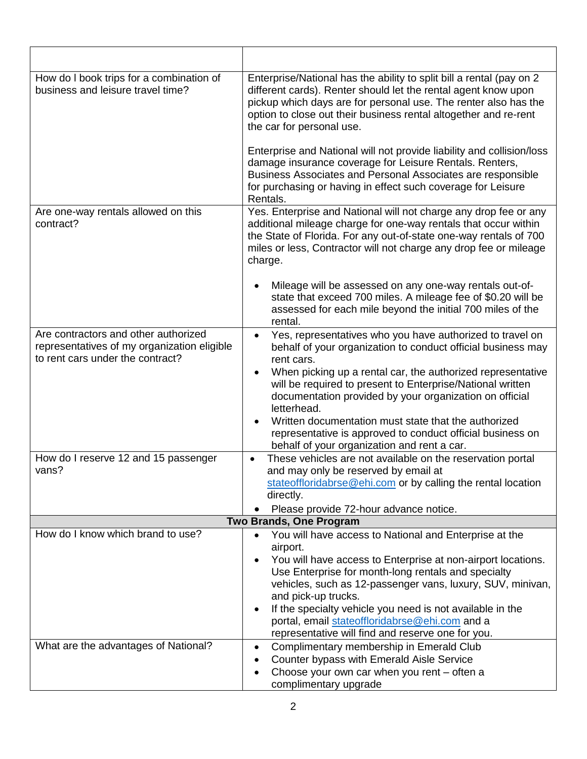| How do I book trips for a combination of<br>business and leisure travel time?                                           | Enterprise/National has the ability to split bill a rental (pay on 2<br>different cards). Renter should let the rental agent know upon<br>pickup which days are for personal use. The renter also has the<br>option to close out their business rental altogether and re-rent<br>the car for personal use.                                                                                                                                                                   |  |
|-------------------------------------------------------------------------------------------------------------------------|------------------------------------------------------------------------------------------------------------------------------------------------------------------------------------------------------------------------------------------------------------------------------------------------------------------------------------------------------------------------------------------------------------------------------------------------------------------------------|--|
|                                                                                                                         | Enterprise and National will not provide liability and collision/loss<br>damage insurance coverage for Leisure Rentals. Renters,<br>Business Associates and Personal Associates are responsible<br>for purchasing or having in effect such coverage for Leisure<br>Rentals.                                                                                                                                                                                                  |  |
| Are one-way rentals allowed on this<br>contract?                                                                        | Yes. Enterprise and National will not charge any drop fee or any<br>additional mileage charge for one-way rentals that occur within<br>the State of Florida. For any out-of-state one-way rentals of 700<br>miles or less, Contractor will not charge any drop fee or mileage<br>charge.                                                                                                                                                                                     |  |
|                                                                                                                         | Mileage will be assessed on any one-way rentals out-of-<br>state that exceed 700 miles. A mileage fee of \$0.20 will be<br>assessed for each mile beyond the initial 700 miles of the<br>rental.                                                                                                                                                                                                                                                                             |  |
| Are contractors and other authorized<br>representatives of my organization eligible<br>to rent cars under the contract? | Yes, representatives who you have authorized to travel on<br>$\bullet$<br>behalf of your organization to conduct official business may<br>rent cars.<br>When picking up a rental car, the authorized representative<br>will be required to present to Enterprise/National written<br>documentation provided by your organization on official<br>letterhead.                                                                                                                  |  |
|                                                                                                                         | Written documentation must state that the authorized<br>representative is approved to conduct official business on<br>behalf of your organization and rent a car.                                                                                                                                                                                                                                                                                                            |  |
| How do I reserve 12 and 15 passenger<br>vans?                                                                           | These vehicles are not available on the reservation portal<br>and may only be reserved by email at<br>stateoffloridabrse@ehi.com or by calling the rental location<br>directly.<br>Please provide 72-hour advance notice.<br>$\bullet$                                                                                                                                                                                                                                       |  |
| <b>Two Brands, One Program</b>                                                                                          |                                                                                                                                                                                                                                                                                                                                                                                                                                                                              |  |
| How do I know which brand to use?                                                                                       | You will have access to National and Enterprise at the<br>$\bullet$<br>airport.<br>You will have access to Enterprise at non-airport locations.<br>$\bullet$<br>Use Enterprise for month-long rentals and specialty<br>vehicles, such as 12-passenger vans, luxury, SUV, minivan,<br>and pick-up trucks.<br>If the specialty vehicle you need is not available in the<br>portal, email stateoffloridabrse@ehi.com and a<br>representative will find and reserve one for you. |  |
| What are the advantages of National?                                                                                    | Complimentary membership in Emerald Club<br>$\bullet$<br>Counter bypass with Emerald Aisle Service<br>Choose your own car when you rent - often a<br>complimentary upgrade                                                                                                                                                                                                                                                                                                   |  |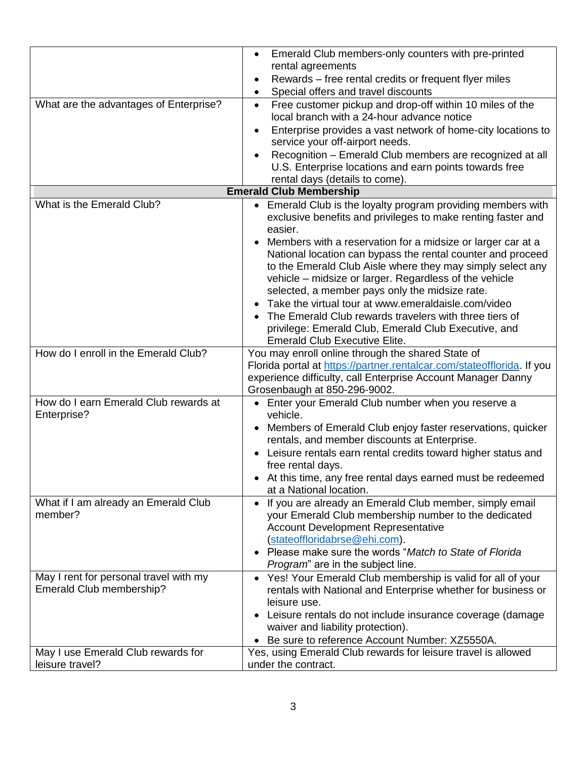| What are the advantages of Enterprise?                             | Emerald Club members-only counters with pre-printed<br>$\bullet$<br>rental agreements<br>Rewards – free rental credits or frequent flyer miles<br>Special offers and travel discounts<br>Free customer pickup and drop-off within 10 miles of the<br>$\bullet$                                                                                                  |
|--------------------------------------------------------------------|-----------------------------------------------------------------------------------------------------------------------------------------------------------------------------------------------------------------------------------------------------------------------------------------------------------------------------------------------------------------|
|                                                                    | local branch with a 24-hour advance notice<br>Enterprise provides a vast network of home-city locations to<br>service your off-airport needs.<br>Recognition - Emerald Club members are recognized at all<br>$\bullet$<br>U.S. Enterprise locations and earn points towards free<br>rental days (details to come).                                              |
|                                                                    | <b>Emerald Club Membership</b>                                                                                                                                                                                                                                                                                                                                  |
| What is the Emerald Club?                                          | • Emerald Club is the loyalty program providing members with<br>exclusive benefits and privileges to make renting faster and<br>easier.<br>• Members with a reservation for a midsize or larger car at a<br>National location can bypass the rental counter and proceed<br>to the Emerald Club Aisle where they may simply select any                           |
|                                                                    | vehicle - midsize or larger. Regardless of the vehicle<br>selected, a member pays only the midsize rate.<br>Take the virtual tour at www.emeraldaisle.com/video<br>The Emerald Club rewards travelers with three tiers of<br>privilege: Emerald Club, Emerald Club Executive, and<br><b>Emerald Club Executive Elite.</b>                                       |
| How do I enroll in the Emerald Club?                               | You may enroll online through the shared State of<br>Florida portal at https://partner.rentalcar.com/stateofflorida. If you<br>experience difficulty, call Enterprise Account Manager Danny<br>Grosenbaugh at 850-296-9002.                                                                                                                                     |
| How do I earn Emerald Club rewards at<br>Enterprise?               | • Enter your Emerald Club number when you reserve a<br>vehicle.<br>• Members of Emerald Club enjoy faster reservations, quicker<br>rentals, and member discounts at Enterprise.<br>Leisure rentals earn rental credits toward higher status and<br>free rental days.<br>• At this time, any free rental days earned must be redeemed<br>at a National location. |
| What if I am already an Emerald Club<br>member?                    | • If you are already an Emerald Club member, simply email<br>your Emerald Club membership number to the dedicated<br><b>Account Development Representative</b><br>(stateoffloridabrse@ehi.com).<br>Please make sure the words "Match to State of Florida<br>Program" are in the subject line.                                                                   |
| May I rent for personal travel with my<br>Emerald Club membership? | • Yes! Your Emerald Club membership is valid for all of your<br>rentals with National and Enterprise whether for business or<br>leisure use.<br>• Leisure rentals do not include insurance coverage (damage<br>waiver and liability protection).<br>Be sure to reference Account Number: XZ5550A.                                                               |
| May I use Emerald Club rewards for<br>leisure travel?              | Yes, using Emerald Club rewards for leisure travel is allowed<br>under the contract.                                                                                                                                                                                                                                                                            |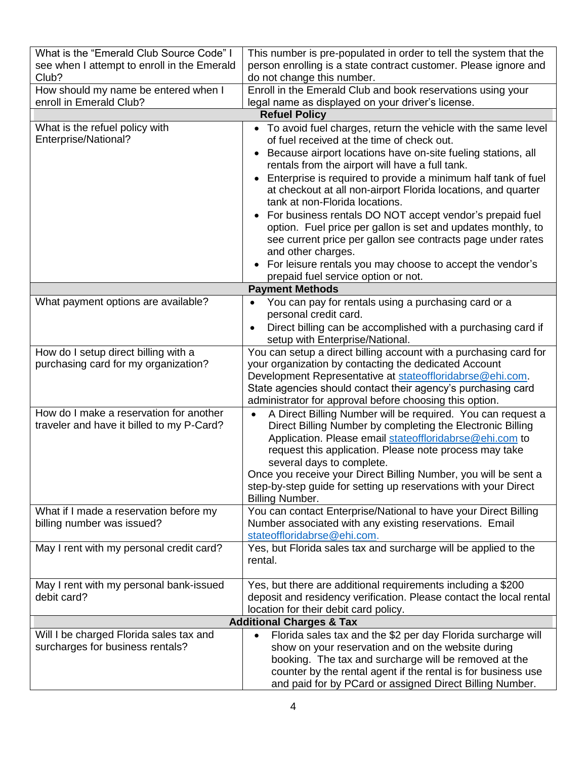| What is the "Emerald Club Source Code" I                                             | This number is pre-populated in order to tell the system that the                                                                                                                                                                                                                                                                                                                                                                                        |  |
|--------------------------------------------------------------------------------------|----------------------------------------------------------------------------------------------------------------------------------------------------------------------------------------------------------------------------------------------------------------------------------------------------------------------------------------------------------------------------------------------------------------------------------------------------------|--|
| see when I attempt to enroll in the Emerald                                          | person enrolling is a state contract customer. Please ignore and                                                                                                                                                                                                                                                                                                                                                                                         |  |
| Club?                                                                                | do not change this number.                                                                                                                                                                                                                                                                                                                                                                                                                               |  |
| How should my name be entered when I                                                 | Enroll in the Emerald Club and book reservations using your                                                                                                                                                                                                                                                                                                                                                                                              |  |
| enroll in Emerald Club?                                                              | legal name as displayed on your driver's license.                                                                                                                                                                                                                                                                                                                                                                                                        |  |
|                                                                                      | <b>Refuel Policy</b>                                                                                                                                                                                                                                                                                                                                                                                                                                     |  |
| What is the refuel policy with<br>Enterprise/National?                               | • To avoid fuel charges, return the vehicle with the same level<br>of fuel received at the time of check out.                                                                                                                                                                                                                                                                                                                                            |  |
|                                                                                      | Because airport locations have on-site fueling stations, all<br>rentals from the airport will have a full tank.                                                                                                                                                                                                                                                                                                                                          |  |
|                                                                                      | Enterprise is required to provide a minimum half tank of fuel<br>at checkout at all non-airport Florida locations, and quarter<br>tank at non-Florida locations.                                                                                                                                                                                                                                                                                         |  |
|                                                                                      | For business rentals DO NOT accept vendor's prepaid fuel<br>option. Fuel price per gallon is set and updates monthly, to<br>see current price per gallon see contracts page under rates<br>and other charges.                                                                                                                                                                                                                                            |  |
|                                                                                      | • For leisure rentals you may choose to accept the vendor's<br>prepaid fuel service option or not.                                                                                                                                                                                                                                                                                                                                                       |  |
|                                                                                      | <b>Payment Methods</b>                                                                                                                                                                                                                                                                                                                                                                                                                                   |  |
| What payment options are available?                                                  | You can pay for rentals using a purchasing card or a<br>personal credit card.                                                                                                                                                                                                                                                                                                                                                                            |  |
|                                                                                      | Direct billing can be accomplished with a purchasing card if<br>$\bullet$<br>setup with Enterprise/National.                                                                                                                                                                                                                                                                                                                                             |  |
| How do I setup direct billing with a<br>purchasing card for my organization?         | You can setup a direct billing account with a purchasing card for<br>your organization by contacting the dedicated Account<br>Development Representative at stateoffloridabrse@ehi.com.<br>State agencies should contact their agency's purchasing card<br>administrator for approval before choosing this option.                                                                                                                                       |  |
| How do I make a reservation for another<br>traveler and have it billed to my P-Card? | A Direct Billing Number will be required. You can request a<br>$\bullet$<br>Direct Billing Number by completing the Electronic Billing<br>Application. Please email stateoffloridabrse@ehi.com to<br>request this application. Please note process may take<br>several days to complete.<br>Once you receive your Direct Billing Number, you will be sent a<br>step-by-step guide for setting up reservations with your Direct<br><b>Billing Number.</b> |  |
| What if I made a reservation before my<br>billing number was issued?                 | You can contact Enterprise/National to have your Direct Billing<br>Number associated with any existing reservations. Email<br>stateoffloridabrse@ehi.com.                                                                                                                                                                                                                                                                                                |  |
| May I rent with my personal credit card?                                             | Yes, but Florida sales tax and surcharge will be applied to the<br>rental.                                                                                                                                                                                                                                                                                                                                                                               |  |
| May I rent with my personal bank-issued<br>debit card?                               | Yes, but there are additional requirements including a \$200<br>deposit and residency verification. Please contact the local rental<br>location for their debit card policy.                                                                                                                                                                                                                                                                             |  |
| <b>Additional Charges &amp; Tax</b>                                                  |                                                                                                                                                                                                                                                                                                                                                                                                                                                          |  |
| Will I be charged Florida sales tax and<br>surcharges for business rentals?          | Florida sales tax and the \$2 per day Florida surcharge will<br>$\bullet$<br>show on your reservation and on the website during<br>booking. The tax and surcharge will be removed at the<br>counter by the rental agent if the rental is for business use<br>and paid for by PCard or assigned Direct Billing Number.                                                                                                                                    |  |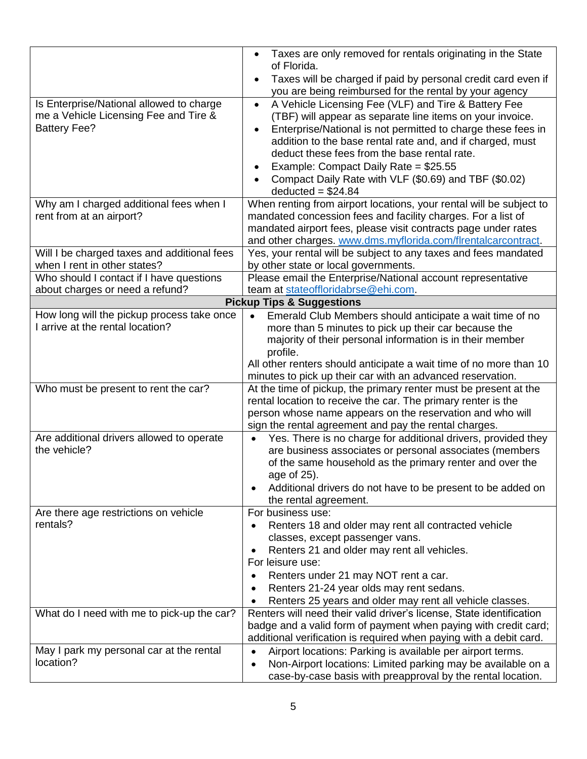| Is Enterprise/National allowed to charge<br>me a Vehicle Licensing Fee and Tire &<br><b>Battery Fee?</b> | Taxes are only removed for rentals originating in the State<br>of Florida.<br>Taxes will be charged if paid by personal credit card even if<br>$\bullet$<br>you are being reimbursed for the rental by your agency<br>A Vehicle Licensing Fee (VLF) and Tire & Battery Fee<br>$\bullet$<br>(TBF) will appear as separate line items on your invoice.<br>Enterprise/National is not permitted to charge these fees in<br>$\bullet$<br>addition to the base rental rate and, and if charged, must<br>deduct these fees from the base rental rate.<br>Example: Compact Daily Rate = \$25.55<br>Compact Daily Rate with VLF (\$0.69) and TBF (\$0.02) |
|----------------------------------------------------------------------------------------------------------|---------------------------------------------------------------------------------------------------------------------------------------------------------------------------------------------------------------------------------------------------------------------------------------------------------------------------------------------------------------------------------------------------------------------------------------------------------------------------------------------------------------------------------------------------------------------------------------------------------------------------------------------------|
| Why am I charged additional fees when I                                                                  | $deducted = $24.84$<br>When renting from airport locations, your rental will be subject to                                                                                                                                                                                                                                                                                                                                                                                                                                                                                                                                                        |
| rent from at an airport?                                                                                 | mandated concession fees and facility charges. For a list of<br>mandated airport fees, please visit contracts page under rates<br>and other charges. www.dms.myflorida.com/flrentalcarcontract.                                                                                                                                                                                                                                                                                                                                                                                                                                                   |
| Will I be charged taxes and additional fees<br>when I rent in other states?                              | Yes, your rental will be subject to any taxes and fees mandated<br>by other state or local governments.                                                                                                                                                                                                                                                                                                                                                                                                                                                                                                                                           |
| Who should I contact if I have questions<br>about charges or need a refund?                              | Please email the Enterprise/National account representative<br>team at stateoffloridabrse@ehi.com.                                                                                                                                                                                                                                                                                                                                                                                                                                                                                                                                                |
|                                                                                                          | <b>Pickup Tips &amp; Suggestions</b>                                                                                                                                                                                                                                                                                                                                                                                                                                                                                                                                                                                                              |
| How long will the pickup process take once<br>I arrive at the rental location?                           | Emerald Club Members should anticipate a wait time of no<br>$\bullet$<br>more than 5 minutes to pick up their car because the<br>majority of their personal information is in their member<br>profile.<br>All other renters should anticipate a wait time of no more than 10<br>minutes to pick up their car with an advanced reservation.                                                                                                                                                                                                                                                                                                        |
| Who must be present to rent the car?                                                                     | At the time of pickup, the primary renter must be present at the<br>rental location to receive the car. The primary renter is the<br>person whose name appears on the reservation and who will<br>sign the rental agreement and pay the rental charges.                                                                                                                                                                                                                                                                                                                                                                                           |
| Are additional drivers allowed to operate<br>the vehicle?                                                | Yes. There is no charge for additional drivers, provided they<br>$\bullet$<br>are business associates or personal associates (members<br>of the same household as the primary renter and over the<br>age of 25).<br>Additional drivers do not have to be present to be added on<br>the rental agreement.                                                                                                                                                                                                                                                                                                                                          |
| Are there age restrictions on vehicle<br>rentals?                                                        | For business use:<br>Renters 18 and older may rent all contracted vehicle<br>$\bullet$<br>classes, except passenger vans.<br>Renters 21 and older may rent all vehicles.<br>For leisure use:<br>Renters under 21 may NOT rent a car.<br>Renters 21-24 year olds may rent sedans.<br>Renters 25 years and older may rent all vehicle classes.                                                                                                                                                                                                                                                                                                      |
| What do I need with me to pick-up the car?                                                               | Renters will need their valid driver's license, State identification<br>badge and a valid form of payment when paying with credit card;<br>additional verification is required when paying with a debit card.                                                                                                                                                                                                                                                                                                                                                                                                                                     |
| May I park my personal car at the rental<br>location?                                                    | Airport locations: Parking is available per airport terms.<br>Non-Airport locations: Limited parking may be available on a<br>case-by-case basis with preapproval by the rental location.                                                                                                                                                                                                                                                                                                                                                                                                                                                         |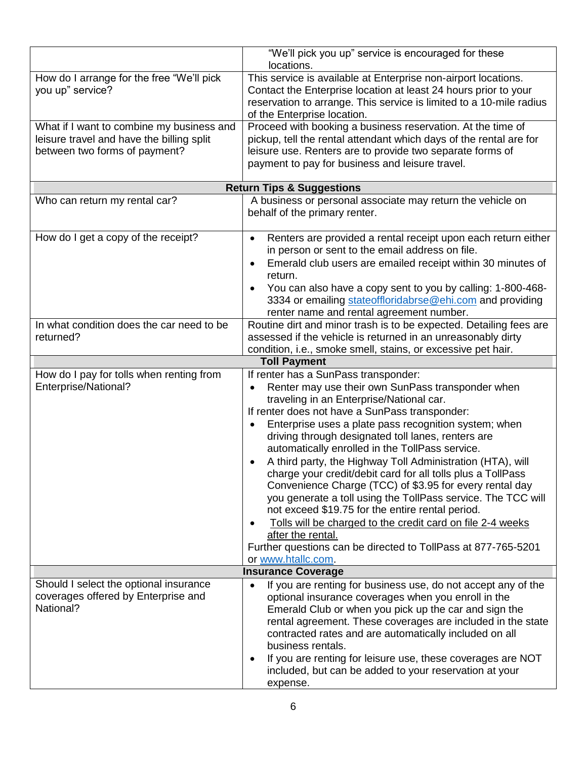|                                                                                                                         | "We'll pick you up" service is encouraged for these<br>locations.                                                                                                                                                                                                                                                                                                                                                                                                                                                                                                                                                                                                                                                                                                                                                                                                         |
|-------------------------------------------------------------------------------------------------------------------------|---------------------------------------------------------------------------------------------------------------------------------------------------------------------------------------------------------------------------------------------------------------------------------------------------------------------------------------------------------------------------------------------------------------------------------------------------------------------------------------------------------------------------------------------------------------------------------------------------------------------------------------------------------------------------------------------------------------------------------------------------------------------------------------------------------------------------------------------------------------------------|
| How do I arrange for the free "We'll pick<br>you up" service?                                                           | This service is available at Enterprise non-airport locations.<br>Contact the Enterprise location at least 24 hours prior to your<br>reservation to arrange. This service is limited to a 10-mile radius<br>of the Enterprise location.                                                                                                                                                                                                                                                                                                                                                                                                                                                                                                                                                                                                                                   |
| What if I want to combine my business and<br>leisure travel and have the billing split<br>between two forms of payment? | Proceed with booking a business reservation. At the time of<br>pickup, tell the rental attendant which days of the rental are for<br>leisure use. Renters are to provide two separate forms of<br>payment to pay for business and leisure travel.                                                                                                                                                                                                                                                                                                                                                                                                                                                                                                                                                                                                                         |
|                                                                                                                         | <b>Return Tips &amp; Suggestions</b>                                                                                                                                                                                                                                                                                                                                                                                                                                                                                                                                                                                                                                                                                                                                                                                                                                      |
| Who can return my rental car?                                                                                           | A business or personal associate may return the vehicle on<br>behalf of the primary renter.                                                                                                                                                                                                                                                                                                                                                                                                                                                                                                                                                                                                                                                                                                                                                                               |
| How do I get a copy of the receipt?                                                                                     | Renters are provided a rental receipt upon each return either<br>$\bullet$<br>in person or sent to the email address on file.<br>Emerald club users are emailed receipt within 30 minutes of<br>$\bullet$<br>return.<br>You can also have a copy sent to you by calling: 1-800-468-<br>$\bullet$<br>3334 or emailing stateoffloridabrse@ehi.com and providing<br>renter name and rental agreement number.                                                                                                                                                                                                                                                                                                                                                                                                                                                                 |
| In what condition does the car need to be<br>returned?                                                                  | Routine dirt and minor trash is to be expected. Detailing fees are<br>assessed if the vehicle is returned in an unreasonably dirty<br>condition, i.e., smoke smell, stains, or excessive pet hair.                                                                                                                                                                                                                                                                                                                                                                                                                                                                                                                                                                                                                                                                        |
|                                                                                                                         | <b>Toll Payment</b>                                                                                                                                                                                                                                                                                                                                                                                                                                                                                                                                                                                                                                                                                                                                                                                                                                                       |
| How do I pay for tolls when renting from<br>Enterprise/National?                                                        | If renter has a SunPass transponder:<br>Renter may use their own SunPass transponder when<br>$\bullet$<br>traveling in an Enterprise/National car.<br>If renter does not have a SunPass transponder:<br>Enterprise uses a plate pass recognition system; when<br>driving through designated toll lanes, renters are<br>automatically enrolled in the TollPass service.<br>A third party, the Highway Toll Administration (HTA), will<br>charge your credit/debit card for all tolls plus a TollPass<br>Convenience Charge (TCC) of \$3.95 for every rental day<br>you generate a toll using the TollPass service. The TCC will<br>not exceed \$19.75 for the entire rental period.<br>Tolls will be charged to the credit card on file 2-4 weeks<br>$\bullet$<br>after the rental.<br>Further questions can be directed to TollPass at 877-765-5201<br>or www.htallc.com. |
|                                                                                                                         | <b>Insurance Coverage</b>                                                                                                                                                                                                                                                                                                                                                                                                                                                                                                                                                                                                                                                                                                                                                                                                                                                 |
| Should I select the optional insurance<br>coverages offered by Enterprise and<br>National?                              | If you are renting for business use, do not accept any of the<br>$\bullet$<br>optional insurance coverages when you enroll in the<br>Emerald Club or when you pick up the car and sign the<br>rental agreement. These coverages are included in the state<br>contracted rates and are automatically included on all<br>business rentals.<br>If you are renting for leisure use, these coverages are NOT<br>$\bullet$<br>included, but can be added to your reservation at your<br>expense.                                                                                                                                                                                                                                                                                                                                                                                |